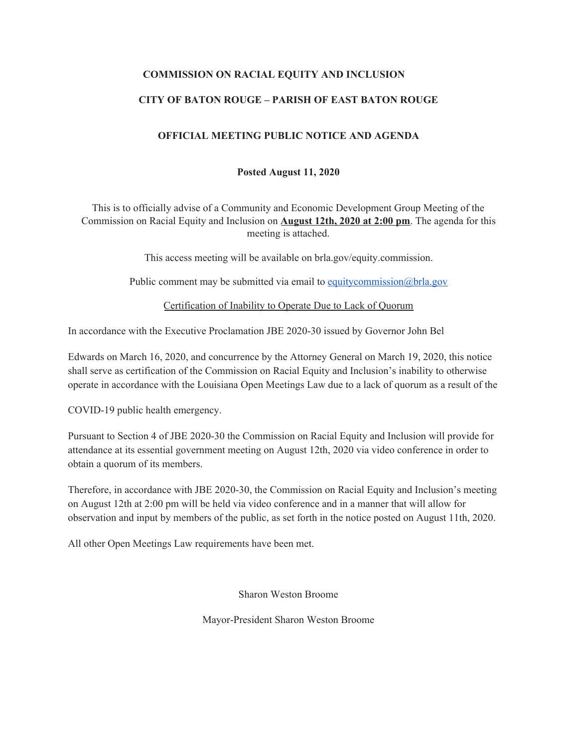## **COMMISSION ON RACIAL EQUITY AND INCLUSION**

## **CITY OF BATON ROUGE – PARISH OF EAST BATON ROUGE**

#### **OFFICIAL MEETING PUBLIC NOTICE AND AGENDA**

#### **Posted August 11, 2020**

This is to officially advise of a Community and Economic Development Group Meeting of the Commission on Racial Equity and Inclusion on **August 12th, 2020 at 2:00 pm**. The agenda for this meeting is attached.

This access meeting will be available on brla.gov/equity.commission.

Public comment may be submitted via email to [equitycommission@brla.gov](mailto:equitycommission@brla.gov)

Certification of Inability to Operate Due to Lack of Quorum

In accordance with the Executive Proclamation JBE 2020-30 issued by Governor John Bel

Edwards on March 16, 2020, and concurrence by the Attorney General on March 19, 2020, this notice shall serve as certification of the Commission on Racial Equity and Inclusion's inability to otherwise operate in accordance with the Louisiana Open Meetings Law due to a lack of quorum as a result of the

COVID-19 public health emergency.

Pursuant to Section 4 of JBE 2020-30 the Commission on Racial Equity and Inclusion will provide for attendance at its essential government meeting on August 12th, 2020 via video conference in order to obtain a quorum of its members.

Therefore, in accordance with JBE 2020-30, the Commission on Racial Equity and Inclusion's meeting on August 12th at 2:00 pm will be held via video conference and in a manner that will allow for observation and input by members of the public, as set forth in the notice posted on August 11th, 2020.

All other Open Meetings Law requirements have been met.

Sharon Weston Broome

Mayor-President Sharon Weston Broome